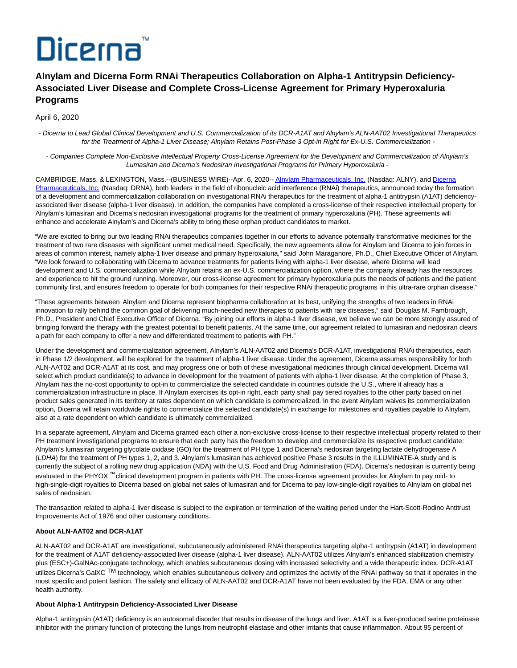# Dicerna

# **Alnylam and Dicerna Form RNAi Therapeutics Collaboration on Alpha-1 Antitrypsin Deficiency-Associated Liver Disease and Complete Cross-License Agreement for Primary Hyperoxaluria Programs**

### April 6, 2020

- Dicerna to Lead Global Clinical Development and U.S. Commercialization of its DCR-A1AT and Alnylam's ALN-AAT02 Investigational Therapeutics for the Treatment of Alpha-1 Liver Disease; Alnylam Retains Post-Phase 3 Opt-in Right for Ex-U.S. Commercialization -

- Companies Complete Non-Exclusive Intellectual Property Cross-License Agreement for the Development and Commercialization of Alnylam's Lumasiran and Dicerna's Nedosiran Investigational Programs for Primary Hyperoxaluria -

CAMBRIDGE, Mass. & LEXINGTON, Mass.--(BUSINESS WIRE)--Apr. 6, 2020-[- Alnylam Pharmaceuticals, Inc. \(](https://cts.businesswire.com/ct/CT?id=smartlink&url=http%3A%2F%2Fwww.alnylam.com&esheet=52199018&newsitemid=20200406005200&lan=en-US&anchor=Alnylam+Pharmaceuticals%2C+Inc.&index=1&md5=fe35dd946bed935aa682252e730b85e9)Nasdaq: ALNY), and [Dicerna](https://cts.businesswire.com/ct/CT?id=smartlink&url=http%3A%2F%2Fwww.dicerna.com&esheet=52199018&newsitemid=20200406005200&lan=en-US&anchor=Dicerna+Pharmaceuticals%2C+Inc.&index=2&md5=e2b25b1514ed1c2403f7baf4270d8ac3) Pharmaceuticals, Inc. (Nasdaq: DRNA), both leaders in the field of ribonucleic acid interference (RNAi) therapeutics, announced today the formation of a development and commercialization collaboration on investigational RNAi therapeutics for the treatment of alpha-1 antitrypsin (A1AT) deficiencyassociated liver disease (alpha-1 liver disease). In addition, the companies have completed a cross-license of their respective intellectual property for Alnylam's lumasiran and Dicerna's nedosiran investigational programs for the treatment of primary hyperoxaluria (PH). These agreements will enhance and accelerate Alnylam's and Dicerna's ability to bring these orphan product candidates to market.

"We are excited to bring our two leading RNAi therapeutics companies together in our efforts to advance potentially transformative medicines for the treatment of two rare diseases with significant unmet medical need. Specifically, the new agreements allow for Alnylam and Dicerna to join forces in areas of common interest, namely alpha-1 liver disease and primary hyperoxaluria," said John Maraganore, Ph.D., Chief Executive Officer of Alnylam. "We look forward to collaborating with Dicerna to advance treatments for patients living with alpha-1 liver disease, where Dicerna will lead development and U.S. commercialization while Alnylam retains an ex-U.S. commercialization option, where the company already has the resources and experience to hit the ground running. Moreover, our cross-license agreement for primary hyperoxaluria puts the needs of patients and the patient community first, and ensures freedom to operate for both companies for their respective RNAi therapeutic programs in this ultra-rare orphan disease."

"These agreements between Alnylam and Dicerna represent biopharma collaboration at its best, unifying the strengths of two leaders in RNAi innovation to rally behind the common goal of delivering much-needed new therapies to patients with rare diseases," said Douglas M. Fambrough, Ph.D., President and Chief Executive Officer of Dicerna. "By joining our efforts in alpha-1 liver disease, we believe we can be more strongly assured of bringing forward the therapy with the greatest potential to benefit patients. At the same time, our agreement related to lumasiran and nedosiran clears a path for each company to offer a new and differentiated treatment to patients with PH."

Under the development and commercialization agreement, Alnylam's ALN-AAT02 and Dicerna's DCR-A1AT, investigational RNAi therapeutics, each in Phase 1/2 development, will be explored for the treatment of alpha-1 liver disease. Under the agreement, Dicerna assumes responsibility for both ALN-AAT02 and DCR-A1AT at its cost, and may progress one or both of these investigational medicines through clinical development. Dicerna will select which product candidate(s) to advance in development for the treatment of patients with alpha-1 liver disease. At the completion of Phase 3, Alnylam has the no-cost opportunity to opt-in to commercialize the selected candidate in countries outside the U.S., where it already has a commercialization infrastructure in place. If Alnylam exercises its opt-in right, each party shall pay tiered royalties to the other party based on net product sales generated in its territory at rates dependent on which candidate is commercialized. In the event Alnylam waives its commercialization option, Dicerna will retain worldwide rights to commercialize the selected candidate(s) in exchange for milestones and royalties payable to Alnylam, also at a rate dependent on which candidate is ultimately commercialized.

In a separate agreement, Alnylam and Dicerna granted each other a non-exclusive cross-license to their respective intellectual property related to their PH treatment investigational programs to ensure that each party has the freedom to develop and commercialize its respective product candidate: Alnylam's lumasiran targeting glycolate oxidase (GO) for the treatment of PH type 1 and Dicerna's nedosiran targeting lactate dehydrogenase A (LDHA) for the treatment of PH types 1, 2, and 3. Alnylam's lumasiran has achieved positive Phase 3 results in the ILLUMINATE-A study and is currently the subject of a rolling new drug application (NDA) with the U.S. Food and Drug Administration (FDA). Dicerna's nedosiran is currently being evaluated in the PHYOX<sup>™</sup> clinical development program in patients with PH. The cross-license agreement provides for Alnylam to pay mid- to high-single-digit royalties to Dicerna based on global net sales of lumasiran and for Dicerna to pay low-single-digit royalties to Alnylam on global net sales of nedosiran.

The transaction related to alpha-1 liver disease is subject to the expiration or termination of the waiting period under the Hart-Scott-Rodino Antitrust Improvements Act of 1976 and other customary conditions.

## **About ALN-AAT02 and DCR-A1AT**

ALN-AAT02 and DCR-A1AT are investigational, subcutaneously administered RNAi therapeutics targeting alpha-1 antitrypsin (A1AT) in development for the treatment of A1AT deficiency-associated liver disease (alpha-1 liver disease). ALN-AAT02 utilizes Alnylam's enhanced stabilization chemistry plus (ESC+)-GalNAc-conjugate technology, which enables subcutaneous dosing with increased selectivity and a wide therapeutic index. DCR-A1AT utilizes Dicerna's GalXC <sup>TM</sup> technology, which enables subcutaneous delivery and optimizes the activity of the RNAi pathway so that it operates in the most specific and potent fashion. The safety and efficacy of ALN-AAT02 and DCR-A1AT have not been evaluated by the FDA, EMA or any other health authority.

#### **About Alpha-1 Antitrypsin Deficiency-Associated Liver Disease**

Alpha-1 antitrypsin (A1AT) deficiency is an autosomal disorder that results in disease of the lungs and liver. A1AT is a liver-produced serine proteinase inhibitor with the primary function of protecting the lungs from neutrophil elastase and other irritants that cause inflammation. About 95 percent of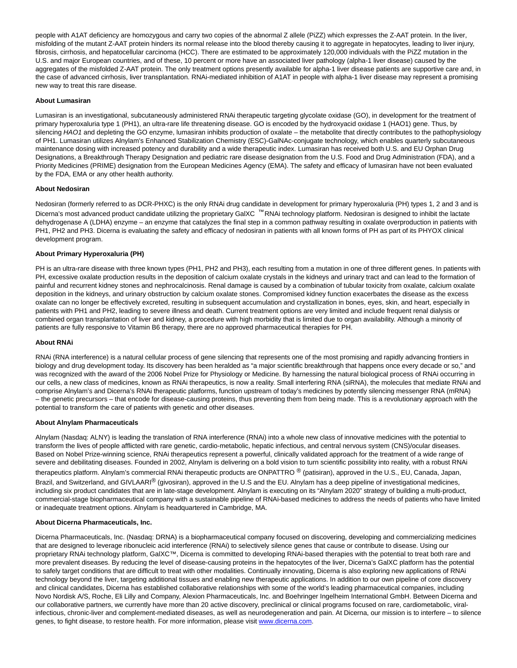people with A1AT deficiency are homozygous and carry two copies of the abnormal Z allele (PiZZ) which expresses the Z-AAT protein. In the liver, misfolding of the mutant Z-AAT protein hinders its normal release into the blood thereby causing it to aggregate in hepatocytes, leading to liver injury, fibrosis, cirrhosis, and hepatocellular carcinoma (HCC). There are estimated to be approximately 120,000 individuals with the PiZZ mutation in the U.S. and major European countries, and of these, 10 percent or more have an associated liver pathology (alpha-1 liver disease) caused by the aggregates of the misfolded Z-AAT protein. The only treatment options presently available for alpha-1 liver disease patients are supportive care and, in the case of advanced cirrhosis, liver transplantation. RNAi-mediated inhibition of A1AT in people with alpha-1 liver disease may represent a promising new way to treat this rare disease.

#### **About Lumasiran**

Lumasiran is an investigational, subcutaneously administered RNAi therapeutic targeting glycolate oxidase (GO), in development for the treatment of primary hyperoxaluria type 1 (PH1), an ultra-rare life threatening disease. GO is encoded by the hydroxyacid oxidase 1 (HAO1) gene. Thus, by silencing HAO1 and depleting the GO enzyme, lumasiran inhibits production of oxalate – the metabolite that directly contributes to the pathophysiology of PH1. Lumasiran utilizes Alnylam's Enhanced Stabilization Chemistry (ESC)-GalNAc-conjugate technology, which enables quarterly subcutaneous maintenance dosing with increased potency and durability and a wide therapeutic index. Lumasiran has received both U.S. and EU Orphan Drug Designations, a Breakthrough Therapy Designation and pediatric rare disease designation from the U.S. Food and Drug Administration (FDA), and a Priority Medicines (PRIME) designation from the European Medicines Agency (EMA). The safety and efficacy of lumasiran have not been evaluated by the FDA, EMA or any other health authority.

#### **About Nedosiran**

Nedosiran (formerly referred to as DCR-PHXC) is the only RNAi drug candidate in development for primary hyperoxaluria (PH) types 1, 2 and 3 and is Dicerna's most advanced product candidate utilizing the proprietary GalXC ™ RNAi technology platform. Nedosiran is designed to inhibit the lactate dehydrogenase A (LDHA) enzyme – an enzyme that catalyzes the final step in a common pathway resulting in oxalate overproduction in patients with PH1, PH2 and PH3. Dicerna is evaluating the safety and efficacy of nedosiran in patients with all known forms of PH as part of its PHYOX clinical development program.

#### **About Primary Hyperoxaluria (PH)**

PH is an ultra-rare disease with three known types (PH1, PH2 and PH3), each resulting from a mutation in one of three different genes. In patients with PH, excessive oxalate production results in the deposition of calcium oxalate crystals in the kidneys and urinary tract and can lead to the formation of painful and recurrent kidney stones and nephrocalcinosis. Renal damage is caused by a combination of tubular toxicity from oxalate, calcium oxalate deposition in the kidneys, and urinary obstruction by calcium oxalate stones. Compromised kidney function exacerbates the disease as the excess oxalate can no longer be effectively excreted, resulting in subsequent accumulation and crystallization in bones, eyes, skin, and heart, especially in patients with PH1 and PH2, leading to severe illness and death. Current treatment options are very limited and include frequent renal dialysis or combined organ transplantation of liver and kidney, a procedure with high morbidity that is limited due to organ availability. Although a minority of patients are fully responsive to Vitamin B6 therapy, there are no approved pharmaceutical therapies for PH.

#### **About RNAi**

RNAi (RNA interference) is a natural cellular process of gene silencing that represents one of the most promising and rapidly advancing frontiers in biology and drug development today. Its discovery has been heralded as "a major scientific breakthrough that happens once every decade or so," and was recognized with the award of the 2006 Nobel Prize for Physiology or Medicine. By harnessing the natural biological process of RNAi occurring in our cells, a new class of medicines, known as RNAi therapeutics, is now a reality. Small interfering RNA (siRNA), the molecules that mediate RNAi and comprise Alnylam's and Dicerna's RNAi therapeutic platforms, function upstream of today's medicines by potently silencing messenger RNA (mRNA) – the genetic precursors – that encode for disease-causing proteins, thus preventing them from being made. This is a revolutionary approach with the potential to transform the care of patients with genetic and other diseases.

#### **About Alnylam Pharmaceuticals**

Alnylam (Nasdaq: ALNY) is leading the translation of RNA interference (RNAi) into a whole new class of innovative medicines with the potential to transform the lives of people afflicted with rare genetic, cardio-metabolic, hepatic infectious, and central nervous system (CNS)/ocular diseases. Based on Nobel Prize-winning science, RNAi therapeutics represent a powerful, clinically validated approach for the treatment of a wide range of severe and debilitating diseases. Founded in 2002, Alnylam is delivering on a bold vision to turn scientific possibility into reality, with a robust RNAi therapeutics platform. Alnylam's commercial RNAi therapeutic products are ONPATTRO ® (patisiran), approved in the U.S., EU, Canada, Japan, Brazil, and Switzerland, and GIVLAARI® (givosiran), approved in the U.S and the EU. Alnylam has a deep pipeline of investigational medicines, including six product candidates that are in late-stage development. Alnylam is executing on its "Alnylam 2020" strategy of building a multi-product, commercial-stage biopharmaceutical company with a sustainable pipeline of RNAi-based medicines to address the needs of patients who have limited or inadequate treatment options. Alnylam is headquartered in Cambridge, MA.

#### **About Dicerna Pharmaceuticals, Inc.**

Dicerna Pharmaceuticals, Inc. (Nasdaq: DRNA) is a biopharmaceutical company focused on discovering, developing and commercializing medicines that are designed to leverage ribonucleic acid interference (RNAi) to selectively silence genes that cause or contribute to disease. Using our proprietary RNAi technology platform, GalXC™, Dicerna is committed to developing RNAi-based therapies with the potential to treat both rare and more prevalent diseases. By reducing the level of disease-causing proteins in the hepatocytes of the liver, Dicerna's GalXC platform has the potential to safely target conditions that are difficult to treat with other modalities. Continually innovating, Dicerna is also exploring new applications of RNAi technology beyond the liver, targeting additional tissues and enabling new therapeutic applications. In addition to our own pipeline of core discovery and clinical candidates, Dicerna has established collaborative relationships with some of the world's leading pharmaceutical companies, including Novo Nordisk A/S, Roche, Eli Lilly and Company, Alexion Pharmaceuticals, Inc. and Boehringer Ingelheim International GmbH. Between Dicerna and our collaborative partners, we currently have more than 20 active discovery, preclinical or clinical programs focused on rare, cardiometabolic, viralinfectious, chronic-liver and complement-mediated diseases, as well as neurodegeneration and pain. At Dicerna, our mission is to interfere – to silence genes, to fight disease, to restore health. For more information, please visit [www.dicerna.com.](https://cts.businesswire.com/ct/CT?id=smartlink&url=http%3A%2F%2Fwww.dicerna.com&esheet=52199018&newsitemid=20200406005200&lan=en-US&anchor=www.dicerna.com&index=3&md5=2635d157ac3b7fa7e5836804142028b2)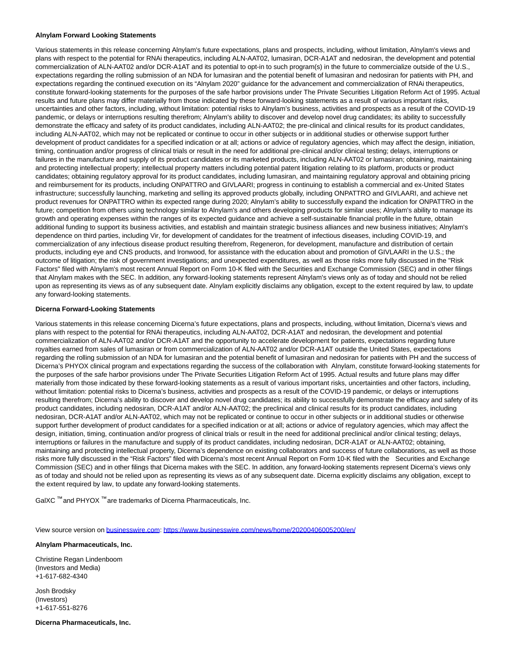#### **Alnylam Forward Looking Statements**

Various statements in this release concerning Alnylam's future expectations, plans and prospects, including, without limitation, Alnylam's views and plans with respect to the potential for RNAi therapeutics, including ALN-AAT02, lumasiran, DCR-A1AT and nedosiran, the development and potential commercialization of ALN-AAT02 and/or DCR-A1AT and its potential to opt-in to such program(s) in the future to commercialize outside of the U.S., expectations regarding the rolling submission of an NDA for lumasiran and the potential benefit of lumasiran and nedosiran for patients with PH, and expectations regarding the continued execution on its "Alnylam 2020" guidance for the advancement and commercialization of RNAi therapeutics, constitute forward-looking statements for the purposes of the safe harbor provisions under The Private Securities Litigation Reform Act of 1995. Actual results and future plans may differ materially from those indicated by these forward-looking statements as a result of various important risks, uncertainties and other factors, including, without limitation: potential risks to Alnylam's business, activities and prospects as a result of the COVID-19 pandemic, or delays or interruptions resulting therefrom; Alnylam's ability to discover and develop novel drug candidates; its ability to successfully demonstrate the efficacy and safety of its product candidates, including ALN-AAT02; the pre-clinical and clinical results for its product candidates, including ALN-AAT02, which may not be replicated or continue to occur in other subjects or in additional studies or otherwise support further development of product candidates for a specified indication or at all; actions or advice of regulatory agencies, which may affect the design, initiation, timing, continuation and/or progress of clinical trials or result in the need for additional pre-clinical and/or clinical testing; delays, interruptions or failures in the manufacture and supply of its product candidates or its marketed products, including ALN-AAT02 or lumasiran; obtaining, maintaining and protecting intellectual property; intellectual property matters including potential patent litigation relating to its platform, products or product candidates; obtaining regulatory approval for its product candidates, including lumasiran, and maintaining regulatory approval and obtaining pricing and reimbursement for its products, including ONPATTRO and GIVLAARI; progress in continuing to establish a commercial and ex-United States infrastructure; successfully launching, marketing and selling its approved products globally, including ONPATTRO and GIVLAARI, and achieve net product revenues for ONPATTRO within its expected range during 2020; Alnylam's ability to successfully expand the indication for ONPATTRO in the future; competition from others using technology similar to Alnylam's and others developing products for similar uses; Alnylam's ability to manage its growth and operating expenses within the ranges of its expected guidance and achieve a self-sustainable financial profile in the future, obtain additional funding to support its business activities, and establish and maintain strategic business alliances and new business initiatives; Alnylam's dependence on third parties, including Vir, for development of candidates for the treatment of infectious diseases, including COVID-19, and commercialization of any infectious disease product resulting therefrom, Regeneron, for development, manufacture and distribution of certain products, including eye and CNS products, and Ironwood, for assistance with the education about and promotion of GIVLAARI in the U.S.; the outcome of litigation; the risk of government investigations; and unexpected expenditures, as well as those risks more fully discussed in the "Risk Factors" filed with Alnylam's most recent Annual Report on Form 10-K filed with the Securities and Exchange Commission (SEC) and in other filings that Alnylam makes with the SEC. In addition, any forward-looking statements represent Alnylam's views only as of today and should not be relied upon as representing its views as of any subsequent date. Alnylam explicitly disclaims any obligation, except to the extent required by law, to update any forward-looking statements.

#### **Dicerna Forward-Looking Statements**

Various statements in this release concerning Dicerna's future expectations, plans and prospects, including, without limitation, Dicerna's views and plans with respect to the potential for RNAi therapeutics, including ALN-AAT02, DCR-A1AT and nedosiran, the development and potential commercialization of ALN-AAT02 and/or DCR-A1AT and the opportunity to accelerate development for patients, expectations regarding future royalties earned from sales of lumasiran or from commercialization of ALN-AAT02 and/or DCR-A1AT outside the United States, expectations regarding the rolling submission of an NDA for lumasiran and the potential benefit of lumasiran and nedosiran for patients with PH and the success of Dicerna's PHYOX clinical program and expectations regarding the success of the collaboration with Alnylam, constitute forward-looking statements for the purposes of the safe harbor provisions under The Private Securities Litigation Reform Act of 1995. Actual results and future plans may differ materially from those indicated by these forward-looking statements as a result of various important risks, uncertainties and other factors, including, without limitation: potential risks to Dicerna's business, activities and prospects as a result of the COVID-19 pandemic, or delays or interruptions resulting therefrom; Dicerna's ability to discover and develop novel drug candidates; its ability to successfully demonstrate the efficacy and safety of its product candidates, including nedosiran, DCR-A1AT and/or ALN-AAT02; the preclinical and clinical results for its product candidates, including nedosiran, DCR-A1AT and/or ALN-AAT02, which may not be replicated or continue to occur in other subjects or in additional studies or otherwise support further development of product candidates for a specified indication or at all; actions or advice of regulatory agencies, which may affect the design, initiation, timing, continuation and/or progress of clinical trials or result in the need for additional preclinical and/or clinical testing; delays, interruptions or failures in the manufacture and supply of its product candidates, including nedosiran, DCR-A1AT or ALN-AAT02; obtaining, maintaining and protecting intellectual property, Dicerna's dependence on existing collaborators and success of future collaborations, as well as those risks more fully discussed in the "Risk Factors" filed with Dicerna's most recent Annual Report on Form 10-K filed with the Securities and Exchange Commission (SEC) and in other filings that Dicerna makes with the SEC. In addition, any forward-looking statements represent Dicerna's views only as of today and should not be relied upon as representing its views as of any subsequent date. Dicerna explicitly disclaims any obligation, except to the extent required by law, to update any forward-looking statements.

GalXC ™ and PHYOX ™ are trademarks of Dicerna Pharmaceuticals, Inc.

View source version on [businesswire.com:](http://businesswire.com/)<https://www.businesswire.com/news/home/20200406005200/en/>

#### **Alnylam Pharmaceuticals, Inc.**

Christine Regan Lindenboom (Investors and Media) +1-617-682-4340

Josh Brodsky (Investors) +1-617-551-8276

**Dicerna Pharmaceuticals, Inc.**